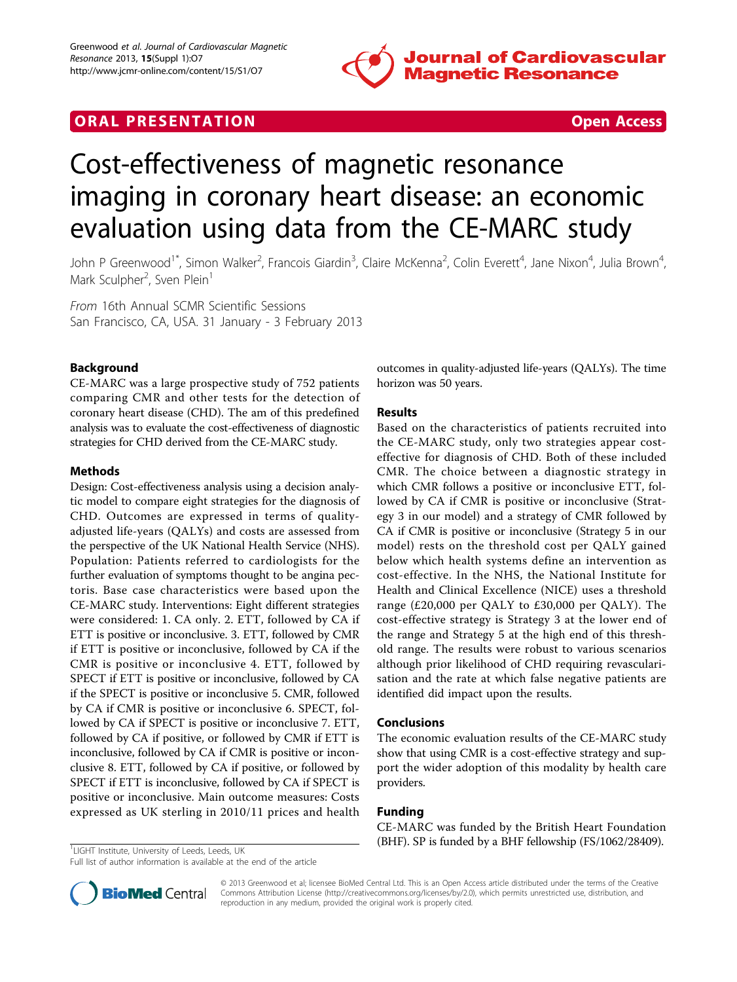

# **ORAL PRESENTATION CONSUMING ACCESS**

# Cost-effectiveness of magnetic resonance imaging in coronary heart disease: an economic evaluation using data from the CE-MARC study

John P Greenwood<sup>1\*</sup>, Simon Walker<sup>2</sup>, Francois Giardin<sup>3</sup>, Claire McKenna<sup>2</sup>, Colin Everett<sup>4</sup>, Jane Nixon<sup>4</sup>, Julia Brown<sup>4</sup> , Mark Sculpher<sup>2</sup>, Sven Plein<sup>1</sup>

From 16th Annual SCMR Scientific Sessions San Francisco, CA, USA. 31 January - 3 February 2013

## Background

CE-MARC was a large prospective study of 752 patients comparing CMR and other tests for the detection of coronary heart disease (CHD). The am of this predefined analysis was to evaluate the cost-effectiveness of diagnostic strategies for CHD derived from the CE-MARC study.

#### Methods

Design: Cost-effectiveness analysis using a decision analytic model to compare eight strategies for the diagnosis of CHD. Outcomes are expressed in terms of qualityadjusted life-years (QALYs) and costs are assessed from the perspective of the UK National Health Service (NHS). Population: Patients referred to cardiologists for the further evaluation of symptoms thought to be angina pectoris. Base case characteristics were based upon the CE-MARC study. Interventions: Eight different strategies were considered: 1. CA only. 2. ETT, followed by CA if ETT is positive or inconclusive. 3. ETT, followed by CMR if ETT is positive or inconclusive, followed by CA if the CMR is positive or inconclusive 4. ETT, followed by SPECT if ETT is positive or inconclusive, followed by CA if the SPECT is positive or inconclusive 5. CMR, followed by CA if CMR is positive or inconclusive 6. SPECT, followed by CA if SPECT is positive or inconclusive 7. ETT, followed by CA if positive, or followed by CMR if ETT is inconclusive, followed by CA if CMR is positive or inconclusive 8. ETT, followed by CA if positive, or followed by SPECT if ETT is inconclusive, followed by CA if SPECT is positive or inconclusive. Main outcome measures: Costs expressed as UK sterling in 2010/11 prices and health

outcomes in quality-adjusted life-years (QALYs). The time horizon was 50 years.

#### Results

Based on the characteristics of patients recruited into the CE-MARC study, only two strategies appear costeffective for diagnosis of CHD. Both of these included CMR. The choice between a diagnostic strategy in which CMR follows a positive or inconclusive ETT, followed by CA if CMR is positive or inconclusive (Strategy 3 in our model) and a strategy of CMR followed by CA if CMR is positive or inconclusive (Strategy 5 in our model) rests on the threshold cost per QALY gained below which health systems define an intervention as cost-effective. In the NHS, the National Institute for Health and Clinical Excellence (NICE) uses a threshold range (£20,000 per QALY to £30,000 per QALY). The cost-effective strategy is Strategy 3 at the lower end of the range and Strategy 5 at the high end of this threshold range. The results were robust to various scenarios although prior likelihood of CHD requiring revascularisation and the rate at which false negative patients are identified did impact upon the results.

#### Conclusions

The economic evaluation results of the CE-MARC study show that using CMR is a cost-effective strategy and support the wider adoption of this modality by health care providers.

### Funding

CE-MARC was funded by the British Heart Foundation (BHF). SP is funded by a BHF fellowship (FS/1062/28409).

<sup>1</sup>LIGHT Institute, University of Leeds, Leeds, UK

Full list of author information is available at the end of the article



© 2013 Greenwood et al; licensee BioMed Central Ltd. This is an Open Access article distributed under the terms of the Creative Commons Attribution License [\(http://creativecommons.org/licenses/by/2.0](http://creativecommons.org/licenses/by/2.0)), which permits unrestricted use, distribution, and reproduction in any medium, provided the original work is properly cited.